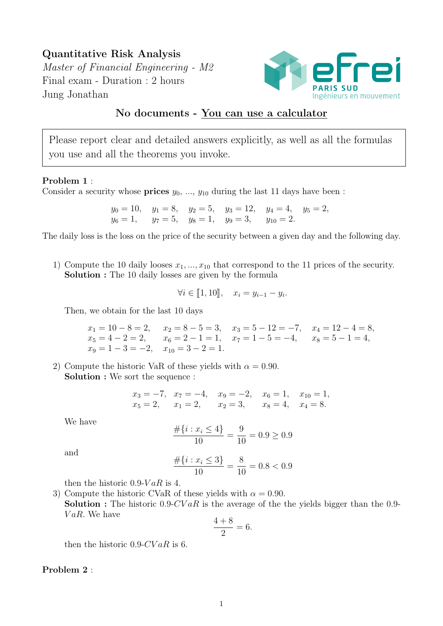Quantitative Risk Analysis Master of Financial Engineering - M2 Final exam - Duration : 2 hours Jung Jonathan



## No documents - You can use a calculator

Please report clear and detailed answers explicitly, as well as all the formulas you use and all the theorems you invoke.

## Problem 1 :

Consider a security whose **prices**  $y_0, ..., y_{10}$  during the last 11 days have been :

 $y_0 = 10$ ,  $y_1 = 8$ ,  $y_2 = 5$ ,  $y_3 = 12$ ,  $y_4 = 4$ ,  $y_5 = 2$ ,  $y_6 = 1$ ,  $y_7 = 5$ ,  $y_8 = 1$ ,  $y_9 = 3$ ,  $y_{10} = 2$ .

The daily loss is the loss on the price of the security between a given day and the following day.

1) Compute the 10 daily looses  $x_1, ..., x_{10}$  that correspond to the 11 prices of the security. Solution : The 10 daily losses are given by the formula

$$
\forall i \in [1, 10], \quad x_i = y_{i-1} - y_i.
$$

Then, we obtain for the last 10 days

 $x_1 = 10 - 8 = 2$ ,  $x_2 = 8 - 5 = 3$ ,  $x_3 = 5 - 12 = -7$ ,  $x_4 = 12 - 4 = 8$ ,  $x_5 = 4 - 2 = 2$ ,  $x_6 = 2 - 1 = 1$ ,  $x_7 = 1 - 5 = -4$ ,  $x_8 = 5 - 1 = 4$ ,  $x_9 = 1 - 3 = -2$ ,  $x_{10} = 3 - 2 = 1$ .

2) Compute the historic VaR of these yields with  $\alpha = 0.90$ . Solution : We sort the sequence :

$$
x_3 = -7
$$
,  $x_7 = -4$ ,  $x_9 = -2$ ,  $x_6 = 1$ ,  $x_{10} = 1$ ,  
\n $x_5 = 2$ ,  $x_1 = 2$ ,  $x_2 = 3$ ,  $x_8 = 4$ ,  $x_4 = 8$ .

We have

$$
\frac{\#\{i: x_i \le 4\}}{10} = \frac{9}{10} = 0.9 \ge 0.9
$$

and

$$
\frac{\#\{i: x_i \le 3\}}{10} = \frac{8}{10} = 0.8 < 0.9
$$

then the historic 0.9- $VaR$  is 4.

3) Compute the historic CVaR of these yields with  $\alpha = 0.90$ . **Solution :** The historic 0.9-CV aR is the average of the the yields bigger than the 0.9- $VaR$ . We have

$$
\frac{4+8}{2} = 6.
$$

then the historic  $0.9$ -CV  $aR$  is 6.

## Problem 2 :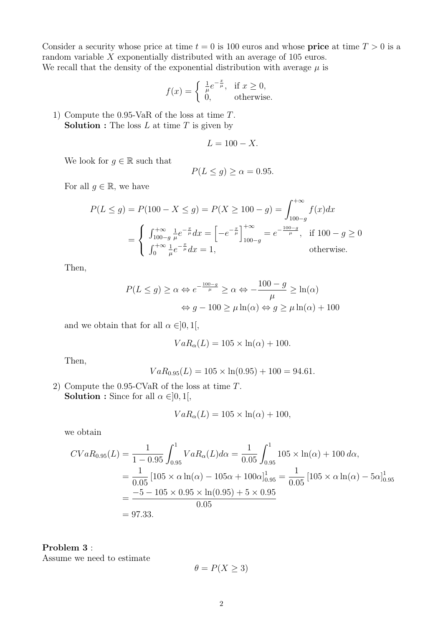Consider a security whose price at time  $t = 0$  is 100 euros and whose **price** at time  $T > 0$  is a random variable X exponentially distributed with an average of 105 euros. We recall that the density of the exponential distribution with average  $\mu$  is

$$
f(x) = \begin{cases} \frac{1}{\mu} e^{-\frac{x}{\mu}}, & \text{if } x \ge 0, \\ 0, & \text{otherwise.} \end{cases}
$$

1) Compute the 0.95-VaR of the loss at time T. **Solution :** The loss  $L$  at time  $T$  is given by

$$
L = 100 - X.
$$

We look for  $g \in \mathbb{R}$  such that

$$
P(L \le g) \ge \alpha = 0.95.
$$

For all  $g \in \mathbb{R}$ , we have

$$
P(L \le g) = P(100 - X \le g) = P(X \ge 100 - g) = \int_{100 - g}^{+\infty} f(x) dx
$$
  
= 
$$
\begin{cases} \int_{100 - g}^{+\infty} \frac{1}{\mu} e^{-\frac{x}{\mu}} dx = \left[ -e^{-\frac{x}{\mu}} \right]_{100 - g}^{+\infty} = e^{-\frac{100 - g}{\mu}}, & \text{if } 100 - g \ge 0\\ \int_{0}^{+\infty} \frac{1}{\mu} e^{-\frac{x}{\mu}} dx = 1, & \text{otherwise.} \end{cases}
$$

Then,

$$
P(L \le g) \ge \alpha \Leftrightarrow e^{-\frac{100-g}{\mu}} \ge \alpha \Leftrightarrow -\frac{100-g}{\mu} \ge \ln(\alpha)
$$

$$
\Leftrightarrow g - 100 \ge \mu \ln(\alpha) \Leftrightarrow g \ge \mu \ln(\alpha) + 100
$$

and we obtain that for all  $\alpha \in ]0,1[,$ 

$$
VaR_{\alpha}(L) = 105 \times \ln(\alpha) + 100.
$$

Then,

$$
VaR_{0.95}(L) = 105 \times \ln(0.95) + 100 = 94.61.
$$

2) Compute the 0.95-CVaR of the loss at time T. **Solution :** Since for all  $\alpha \in ]0,1[$ ,

$$
VaR_{\alpha}(L) = 105 \times \ln(\alpha) + 100,
$$

we obtain

$$
CVaR_{0.95}(L) = \frac{1}{1 - 0.95} \int_{0.95}^{1} VaR_{\alpha}(L) d\alpha = \frac{1}{0.05} \int_{0.95}^{1} 105 \times \ln(\alpha) + 100 d\alpha,
$$
  
=  $\frac{1}{0.05} [105 \times \alpha \ln(\alpha) - 105\alpha + 100\alpha]_{0.95}^{1} = \frac{1}{0.05} [105 \times \alpha \ln(\alpha) - 5\alpha]_{0.95}^{1}$   
=  $\frac{-5 - 105 \times 0.95 \times \ln(0.95) + 5 \times 0.95}{0.05}$   
= 97.33.

Problem 3 : Assume we need to estimate

$$
\theta = P(X \ge 3)
$$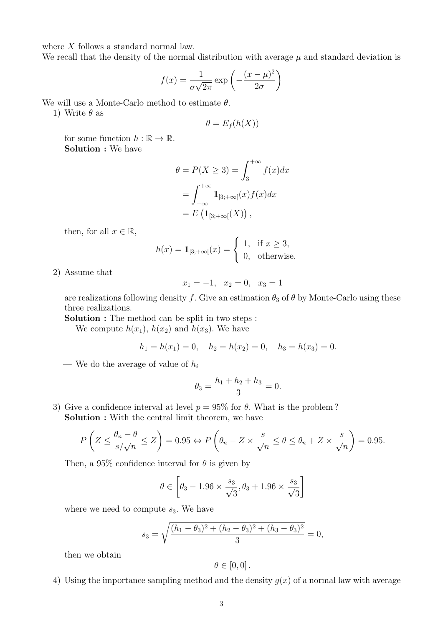where X follows a standard normal law.

We recall that the density of the normal distribution with average  $\mu$  and standard deviation is

$$
f(x) = \frac{1}{\sigma\sqrt{2\pi}} \exp\left(-\frac{(x-\mu)^2}{2\sigma}\right)
$$

We will use a Monte-Carlo method to estimate  $\theta$ .

1) Write  $\theta$  as

$$
\theta = E_f(h(X))
$$

for some function  $h : \mathbb{R} \to \mathbb{R}$ . Solution : We have

$$
\theta = P(X \ge 3) = \int_3^{+\infty} f(x)dx
$$

$$
= \int_{-\infty}^{+\infty} \mathbf{1}_{[3;+\infty[}(x)f(x)dx
$$

$$
= E\left(\mathbf{1}_{[3;+\infty[}(X)\right),\right)
$$

then, for all  $x \in \mathbb{R}$ ,

$$
h(x) = \mathbf{1}_{[3;+\infty[}(x)) = \begin{cases} 1, & \text{if } x \ge 3, \\ 0, & \text{otherwise.} \end{cases}
$$

2) Assume that

$$
x_1 = -1, \quad x_2 = 0, \quad x_3 = 1
$$

are realizations following density f. Give an estimation  $\theta_3$  of  $\theta$  by Monte-Carlo using these three realizations.

Solution : The method can be split in two steps :

— We compute  $h(x_1)$ ,  $h(x_2)$  and  $h(x_3)$ . We have

$$
h_1 = h(x_1) = 0
$$
,  $h_2 = h(x_2) = 0$ ,  $h_3 = h(x_3) = 0$ .

— We do the average of value of  $h_i$ 

$$
\theta_3 = \frac{h_1 + h_2 + h_3}{3} = 0.
$$

3) Give a confidence interval at level  $p = 95\%$  for  $\theta$ . What is the problem? Solution : With the central limit theorem, we have

$$
P\left(Z \le \frac{\theta_n - \theta}{s/\sqrt{n}} \le Z\right) = 0.95 \Leftrightarrow P\left(\theta_n - Z \times \frac{s}{\sqrt{n}} \le \theta \le \theta_n + Z \times \frac{s}{\sqrt{n}}\right) = 0.95.
$$

Then, a 95% confidence interval for  $\theta$  is given by

$$
\theta \in \left[\theta_3 - 1.96 \times \frac{s_3}{\sqrt{3}}, \theta_3 + 1.96 \times \frac{s_3}{\sqrt{3}}\right]
$$

where we need to compute  $s_3$ . We have

$$
s_3 = \sqrt{\frac{(h_1 - \theta_3)^2 + (h_2 - \theta_3)^2 + (h_3 - \theta_3)^2}{3}} = 0,
$$

then we obtain

$$
\theta\in[0,0].
$$

4) Using the importance sampling method and the density  $g(x)$  of a normal law with average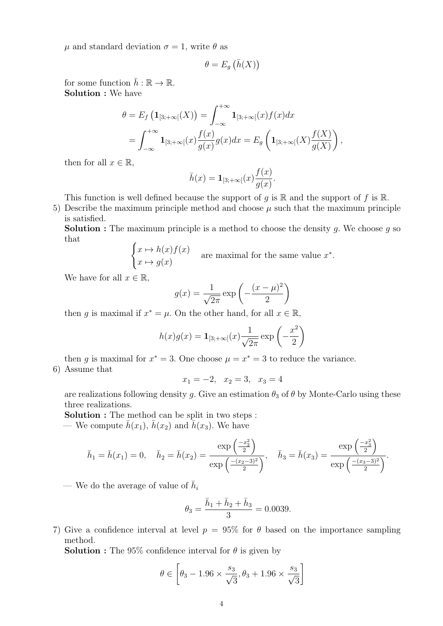$\mu$  and standard deviation  $\sigma = 1$ , write  $\theta$  as

$$
\theta = E_g\left(\bar{h}(X)\right)
$$

for some function  $\bar{h} : \mathbb{R} \to \mathbb{R}$ . Solution : We have

$$
\theta = E_f \left( \mathbf{1}_{[3;+\infty[}(X)) \right) = \int_{-\infty}^{+\infty} \mathbf{1}_{[3;+\infty[}(x) f(x) dx \n= \int_{-\infty}^{+\infty} \mathbf{1}_{[3;+\infty[}(x) \frac{f(x)}{g(x)} g(x) dx = E_g \left( \mathbf{1}_{[3;+\infty[}(X) \frac{f(X)}{g(X)} \right),
$$

then for all  $x \in \mathbb{R}$ ,

$$
\bar{h}(x) = \mathbf{1}_{[3,+\infty[}(x)\frac{f(x)}{g(x)}.
$$

This function is well defined because the support of g is  $\mathbb R$  and the support of f is  $\mathbb R$ .

5) Describe the maximum principle method and choose  $\mu$  such that the maximum principle is satisfied.

**Solution :** The maximum principle is a method to choose the density g. We choose g so that

$$
\begin{cases} x \mapsto h(x)f(x) \\ x \mapsto g(x) \end{cases}
$$
 are maximal for the same value  $x^*$ .

We have for all  $x \in \mathbb{R}$ ,

$$
g(x) = \frac{1}{\sqrt{2\pi}} \exp\left(-\frac{(x-\mu)^2}{2}\right)
$$

then g is maximal if  $x^* = \mu$ . On the other hand, for all  $x \in \mathbb{R}$ ,

$$
h(x)g(x) = \mathbf{1}_{[3;+\infty[}(x)\frac{1}{\sqrt{2\pi}}\exp\left(-\frac{x^2}{2}\right)
$$

then g is maximal for  $x^* = 3$ . One choose  $\mu = x^* = 3$  to reduce the variance. 6) Assume that

 $x_1 = -2$ ,  $x_2 = 3$ ,  $x_3 = 4$ 

are realizations following density g. Give an estimation  $\theta_3$  of  $\theta$  by Monte-Carlo using these three realizations.

Solution : The method can be split in two steps :

— We compute  $h(x_1)$ ,  $h(x_2)$  and  $h(x_3)$ . We have

$$
\bar{h}_1 = \bar{h}(x_1) = 0, \quad \bar{h}_2 = \bar{h}(x_2) = \frac{\exp\left(\frac{-x_2^2}{2}\right)}{\exp\left(\frac{-(x_2 - 3)^2}{2}\right)}, \quad \bar{h}_3 = \bar{h}(x_3) = \frac{\exp\left(\frac{-x_3^2}{2}\right)}{\exp\left(\frac{-(x_3 - 3)^2}{2}\right)}.
$$

— We do the average of value of  $\bar{h}_i$ 

$$
\theta_3 = \frac{\bar{h}_1 + \bar{h}_2 + \bar{h}_3}{3} = 0.0039.
$$

7) Give a confidence interval at level  $p = 95\%$  for  $\theta$  based on the importance sampling method.

**Solution :** The 95% confidence interval for  $\theta$  is given by

$$
\theta \in \left[\theta_3 - 1.96 \times \frac{s_3}{\sqrt{3}}, \theta_3 + 1.96 \times \frac{s_3}{\sqrt{3}}\right]
$$